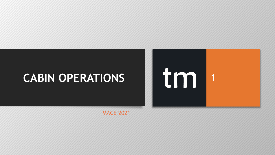# **CABIN OPERATIONS**

MACE 2021

1

Itm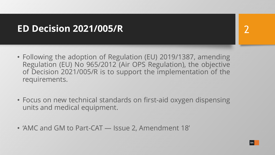#### **ED Decision 2021/005/R**

- Following the adoption of Regulation (EU) 2019/1387, amending Regulation (EU) No 965/2012 (Air OPS Regulation), the objective of Decision 2021/005/R is to support the implementation of the requirements.
- Focus on new technical standards on first-aid oxygen dispensing units and medical equipment.
- 'AMC and GM to Part-CAT Issue 2, Amendment 18'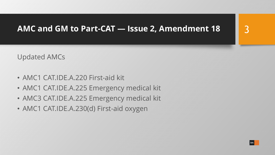#### **AMC and GM to Part-CAT — Issue 2, Amendment 18**

Updated AMCs

- AMC1 CAT.IDE.A.220 First-aid kit
- AMC1 CAT.IDE.A.225 Emergency medical kit
- AMC3 CAT.IDE.A.225 Emergency medical kit
- AMC1 CAT.IDE.A.230(d) First-aid oxygen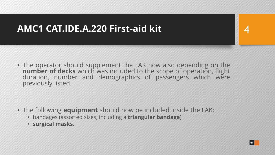4

• The operator should supplement the FAK now also depending on the **number of decks** which was included to the scope of operation, flight duration, number and demographics of passengers which were previously listed.

- The following **equipment** should now be included inside the FAK;
	- bandages (assorted sizes, including a **triangular bandage**)
	- **surgical masks.**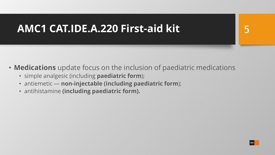# 5

- **Medications** update focus on the inclusion of paediatric medications
	- simple analgesic (including **paediatric form**);
	- antiemetic **non-injectable (including paediatric form**);
	- antihistamine **(including paediatric form).**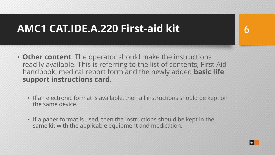6

- **Other content**. The operator should make the instructions readily available. This is referring to the list of contents, First Aid handbook, medical report form and the newly added **basic life support instructions card**.
	- If an electronic format is available, then all instructions should be kept on the same device.
	- If a paper format is used, then the instructions should be kept in the same kit with the applicable equipment and medication.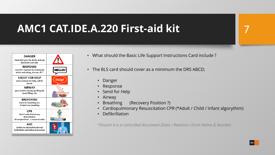

- What should the Basic Life Support Instructions Card include ?
- The BLS card should cover as a minimum the DRS ABCD;
	- Danger
	- **Response**
	- Send for Help
	- Airway
	- Breathing (Recovery Position ?)
	- Cardiopulmonary Resuscitation CPR (\*Adult / Child / Infant algorythim)
	- **Defibrillation**

*\*Ensure it is a controlled document (Date / Revision / Form Name & Number*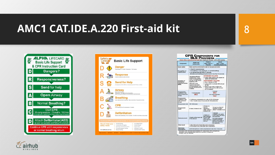



|                                                                   | <b>CPR COMPONENTS FOR</b><br><b>BLS PROVIDERS</b><br>Infant, Child, Adolescent, and Adult BLS Healthcare Provider - 2015-2020 Updates                                                                                    |                                                                                                                                                                                                                                                                                                              |                                                                                                                                                                                                       |  |
|-------------------------------------------------------------------|--------------------------------------------------------------------------------------------------------------------------------------------------------------------------------------------------------------------------|--------------------------------------------------------------------------------------------------------------------------------------------------------------------------------------------------------------------------------------------------------------------------------------------------------------|-------------------------------------------------------------------------------------------------------------------------------------------------------------------------------------------------------|--|
| Component                                                         | Adults and<br><b>Adolescents</b>                                                                                                                                                                                         | Children<br>(Age 1 Year to<br>Pubertyi                                                                                                                                                                                                                                                                       | <b>Infants</b><br>(Age < 1 Year,<br><b>Excluding Newbornsk</b>                                                                                                                                        |  |
| Scene safety                                                      | Make sure the environment is safe for rescuers and victim.                                                                                                                                                               |                                                                                                                                                                                                                                                                                                              |                                                                                                                                                                                                       |  |
| Recognition of<br>cardiac arrest                                  | · Check for responsiveness<br>. No breathing or only gasping (le, no normal breathing)<br>. No definite pulse felt within 10 seconds<br>(Simultaneous breathing and pulse check in less than 10 seconds)                 |                                                                                                                                                                                                                                                                                                              |                                                                                                                                                                                                       |  |
| <b>Activation of</b><br>emergency<br>response system<br>(EMS)     | Your alone without a<br>mobile phone, leave<br>victim to activate EMS<br>and get an AED before<br>beginning CPR<br>Otherwise, send<br>someone and begin<br>CPR immediately; use<br>the AED as soon as it is<br>available | <b>WITNESSED COLLAPSE</b><br>. Follow steps noted in left column for<br>adults and adolescents<br><b>UNWITNESSED COLLAPSE</b><br>· Give 2 minutes of CPR<br>. Leave victim to activate EMS and get<br>an AFD<br>. Return to the child or infant and<br>resume CPR; use the AED as soon<br>as it is available |                                                                                                                                                                                                       |  |
| Compression-<br>ventilation ratio<br>(without advanced<br>airway) | 1 or 2 rescuers<br>30.2                                                                                                                                                                                                  | 1 rescuer<br>30:2<br>2 or more rescuers<br>15:2                                                                                                                                                                                                                                                              |                                                                                                                                                                                                       |  |
| Compression-<br>ventilation ratio<br>(with advanced<br>airwayi    | · Continuous compressions at a rate of 100-120/minute<br>· Give 1 breath every 2-3 seconds (20-30 breaths/min)                                                                                                           |                                                                                                                                                                                                                                                                                                              |                                                                                                                                                                                                       |  |
| Compression rate                                                  | 100-120/minute                                                                                                                                                                                                           |                                                                                                                                                                                                                                                                                                              |                                                                                                                                                                                                       |  |
| Compression<br>depth                                              | At least 2 inches (5 cm)*                                                                                                                                                                                                | At least one<br>third AP<br>diameter of<br>chest - About 2<br>inches (5 cm)                                                                                                                                                                                                                                  | At least one third AP<br>diameter of chest -<br>About 11/2 inches (4 cm)                                                                                                                              |  |
| <b>Hand placement</b>                                             | 2 hands on the lower half<br>of the sternum                                                                                                                                                                              | 2 hands or 1<br>hand (optional)<br>for very small<br>child) on the<br>lower half of the<br>sternum                                                                                                                                                                                                           | 1 rescuer<br>2 fingers in the center<br>of the chest, just below<br>the nipple line<br>2 or more rescuers<br>2 thumb-encircling<br>hands in the center of<br>the chest, just below<br>the nipple line |  |
| Chest recoil                                                      | . Allow full recoil of chest after each compression<br>. Do not lean on the chest after each compression                                                                                                                 |                                                                                                                                                                                                                                                                                                              |                                                                                                                                                                                                       |  |
| Minimizing<br>interruptions                                       | Limit interruptions in chest compressions to less than 10 seconds                                                                                                                                                        |                                                                                                                                                                                                                                                                                                              |                                                                                                                                                                                                       |  |

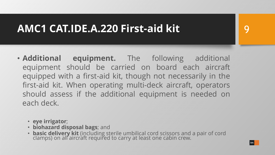- **Additional equipment.** The following additional equipment should be carried on board each aircraft equipped with a first-aid kit, though not necessarily in the first-aid kit. When operating multi-deck aircraft, operators should assess if the additional equipment is needed on each deck.
	- **eye irrigator**;
	- **biohazard disposal bags**; and
	- **basic delivery kit** (including sterile umbilical cord scissors and a pair of cord clamps) on all aircraft required to carry at least one cabin crew.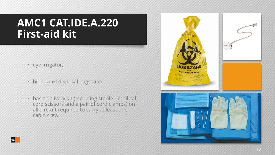- eye irrigator;
- biohazard disposal bags; and
- basic delivery kit (including sterile umbilical cord scissors and a pair of cord clamps) on all aircraft required to carry at least one cabin crew.

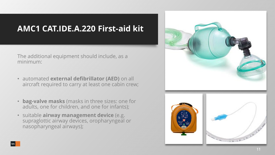The additional equipment should include, as a minimum:

- automated **external defibrillator (AED)** on all aircraft required to carry at least one cabin crew;
- **bag-valve masks** (masks in three sizes: one for adults, one for children, and one for infants);
- suitable **airway management device** (e.g. supraglottic airway devices, oropharyngeal or nasopharyngeal airways);



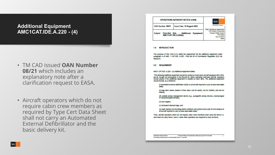#### **Additional Equipment AMC1CAT.IDE.A.220 - (4)**

- TM CAD issued **OAN Number 08/21** which includes an explanatory note after a clarification request to EASA.
- Aircraft operators which do not require cabin crew members as required by Type Cert Data Sheet shall not carry an Automated External Defibrillator and the basic delivery kit.

| <b>OPERATIONS ADVISORY NOTICE (OAN)</b> |                                                            |           |                                                                                                                                      |
|-----------------------------------------|------------------------------------------------------------|-----------|--------------------------------------------------------------------------------------------------------------------------------------|
| OAN Number: 08/21                       | <b>Issue Date: 16 August 2021</b>                          |           | <b>Transport Malta</b>                                                                                                               |
| Subject:                                | First-Aid Kits - Additional<br><b>AMC1CAT.IDE.A.220(4)</b> | Equipment | Flight Operations Inspectorate<br>Civil Aviation Directorate<br><b>Transport Malta Centre</b><br><b>Trio Pantar</b><br>Lija LJA 2021 |

#### 1.0 INTRODUCTION

The purpose of this OAN is to clarify the requirement for the additional equipment under paragraph 4 of AMC 1 CAT.IDE, A.220 - First Ald Kit of Commission Regulation (EU) No 965/2012

#### 2.0 REQUIRMENT

AMC1 CAT.IDE. A.220 - (4) Additional equipment states;

"The following additional equipment should be carried on board each aircraft equipped with a firstaid kit, though not necessarily in the first-aid kit. When operating multi-deck aircraft, operators<br>should assess if the additional equipment is needed on each deck. The additional equipment should include, as a minimum:

(I) automated external defibriliator (AED) on all alroraft required to carry at least one cabin **Crew:** 

(II) bag-valve masks (masks in three sizes: one for adults, one for children, and one for **Intentsi:** 

(II) sultable alrway management device (e.g., supragiottic alrway devices, oropharyngeal or nasopharyngeal alrways);

(Iv) eye Infgator;

(v) blohazard disposal bags; and

(vi) basic delivery kit (including sterlie umblikal cord scissors and a pair of cord clamps) on all alrcraft required to carry at least one cabin crew."

Thus, aircraft operators which do not require cabin crew members shall carry the items II-v, and need not carry items I and vi, while other operators are required to carry all items.

**Operations Advisory Notice** Transport Malta is the Authority in Malta set up by ACT XV of 2009 Civil Aviation Directorate Form TM/CAD/0067 issue 2 - June 2020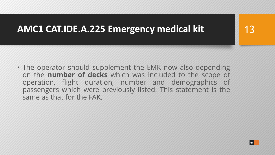• The operator should supplement the EMK now also depending on the **number of decks** which was included to the scope of operation, flight duration, number and demographics of passengers which were previously listed. This statement is the same as that for the FAK.

13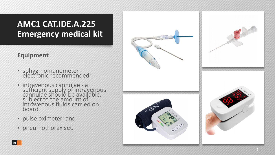#### **Equipment**

- sphygmomanometer electronic recommended;
- intravenous cannulae a sufficient supply of intravenous cannulae should be available,<br>subject to the amount of intravenous fluids carried on board
- pulse oximeter; and
- pneumothorax set.



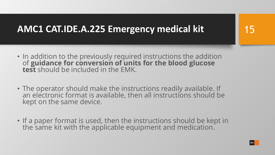- In addition to the previously required instructions the addition of **guidance for conversion of units for the blood glucose test** should be included in the EMK.
- The operator should make the instructions readily available. If an electronic format is available, then all instructions should be kept on the same device.
- If a paper format is used, then the instructions should be kept in the same kit with the applicable equipment and medication.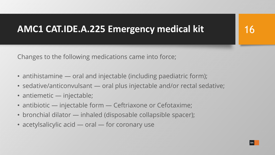Changes to the following medications came into force;

- antihistamine oral and injectable (including paediatric form);
- sedative/anticonvulsant oral plus injectable and/or rectal sedative;
- antiemetic injectable;
- antibiotic injectable form Ceftriaxone or Cefotaxime;
- bronchial dilator inhaled (disposable collapsible spacer);
- acetylsalicylic acid oral for coronary use

16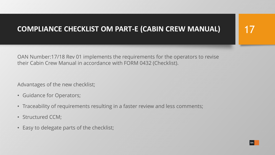#### **COMPLIANCE CHECKLIST OM PART-E (CABIN CREW MANUAL)**

OAN Number:17/18 Rev 01 implements the requirements for the operators to revise their Cabin Crew Manual in accordance with FORM 0432 (Checklist).

Advantages of the new checklist;

- Guidance for Operators;
- Traceability of requirements resulting in a faster review and less comments;
- Structured CCM;
- Easy to delegate parts of the checklist;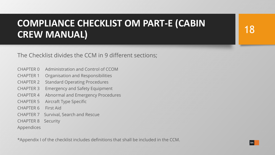### **COMPLIANCE CHECKLIST OM PART-E (CABIN CREW MANUAL)**

The Checklist divides the CCM in 9 different sections;

- CHAPTER 0 Administration and Control of CCOM
- CHAPTER 1 Organisation and Responsibilities
- CHAPTER 2 Standard Operating Procedures
- CHAPTER 3 Emergency and Safety Equipment
- CHAPTER 4 Abnormal and Emergency Procedures
- CHAPTER 5 Aircraft Type Specific
- CHAPTER 6 First Aid
- CHAPTER 7 Survival, Search and Rescue
- CHAPTER 8 Security

Appendices

\*Appendix I of the checklist includes definitions that shall be included in the CCM.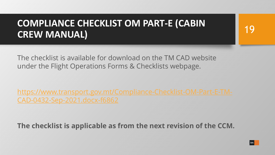### **COMPLIANCE CHECKLIST OM PART-E (CABIN CREW MANUAL)**

The checklist is available for download on the TM CAD website under the Flight Operations Forms & Checklists webpage.

[https://www.transport.gov.mt/Compliance-Checklist-OM-Part-E-TM-](https://www.transport.gov.mt/Compliance-Checklist-OM-Part-E-TM-CAD-0432-Sep-2021.docx-f6862)CAD-0432-Sep-2021.docx-f6862

**The checklist is applicable as from the next revision of the CCM.**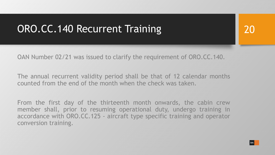# ORO.CC.140 Recurrent Training

OAN Number 02/21 was issued to clarify the requirement of ORO.CC.140.

The annual recurrent validity period shall be that of 12 calendar months counted from the end of the month when the check was taken.

From the first day of the thirteenth month onwards, the cabin crew member shall, prior to resuming operational duty, undergo training in accordance with ORO.CC.125 - aircraft type specific training and operator conversion training.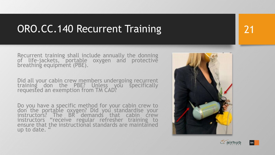# ORO.CC.140 Recurrent Training

Recurrent training shall include annually the donning<br>of life-jackets, portable oxygen and protective<br>breathing equipment (PBE).

Did all your cabin crew members undergoing recurrent training don the PBE? Unless you specifically<br>requested an exemption\_from\_TM\_CAD?

Do you have a specific method for your cabin crew to don the portable oxygen? Did you standardise your<br>instructors? The BR demands that cabin crew instructors "receive regular refresher training to ensure that the instructional standards are maintained up to date. "



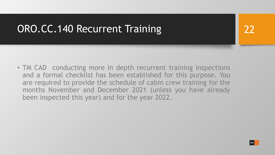# ORO.CC.140 Recurrent Training

22

• TM CAD conducting more in depth recurrent training inspections and a formal checklist has been established for this purpose. You are required to provide the schedule of cabin crew training for the months November and December 2021 (unless you have already been inspected this year) and for the year 2022.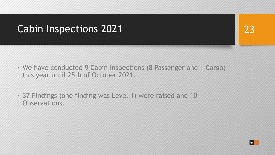# Cabin Inspections 2021

- We have conducted 9 Cabin Inspections (8 Passenger and 1 Cargo) this year until 25th of October 2021.
- 37 Findings (one finding was Level 1) were raised and 10 Observations.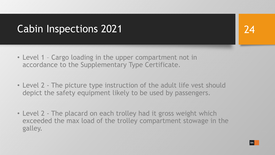# Cabin Inspections 2021

- Level 1 Cargo loading in the upper compartment not in accordance to the Supplementary Type Certificate.
- Level 2 The picture type instruction of the adult life vest should depict the safety equipment likely to be used by passengers.
- Level 2 The placard on each trolley had it gross weight which exceeded the max load of the trolley compartment stowage in the galley.